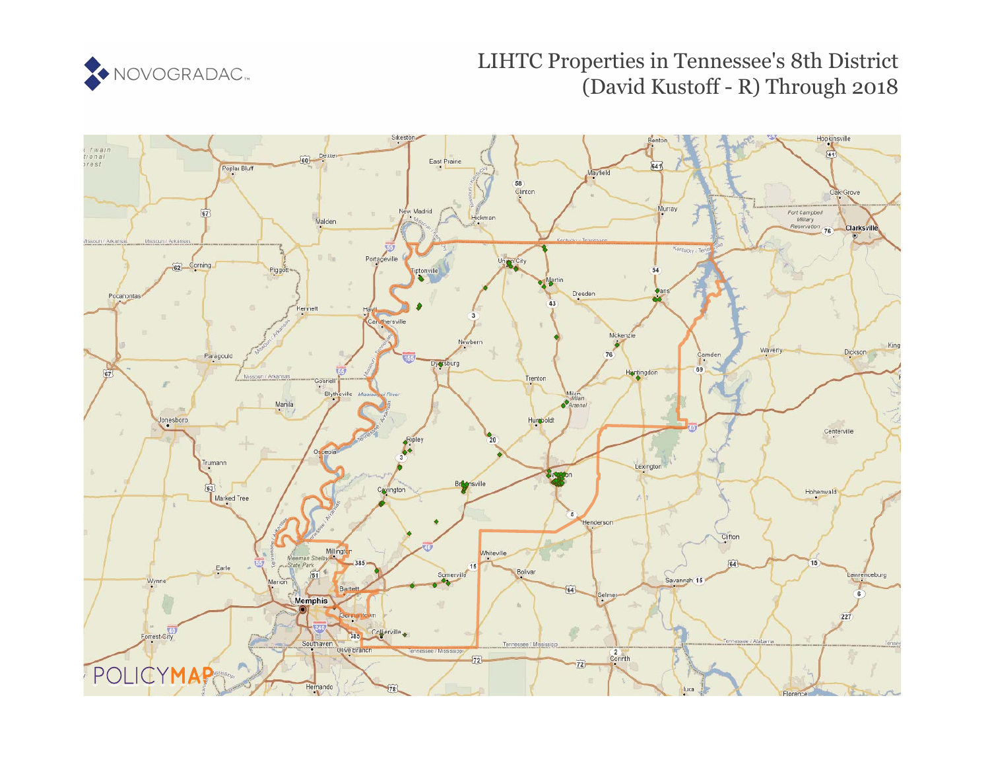

# LIHTC Properties in Tennessee's 8th District (David Kustoff - R) Through 2018

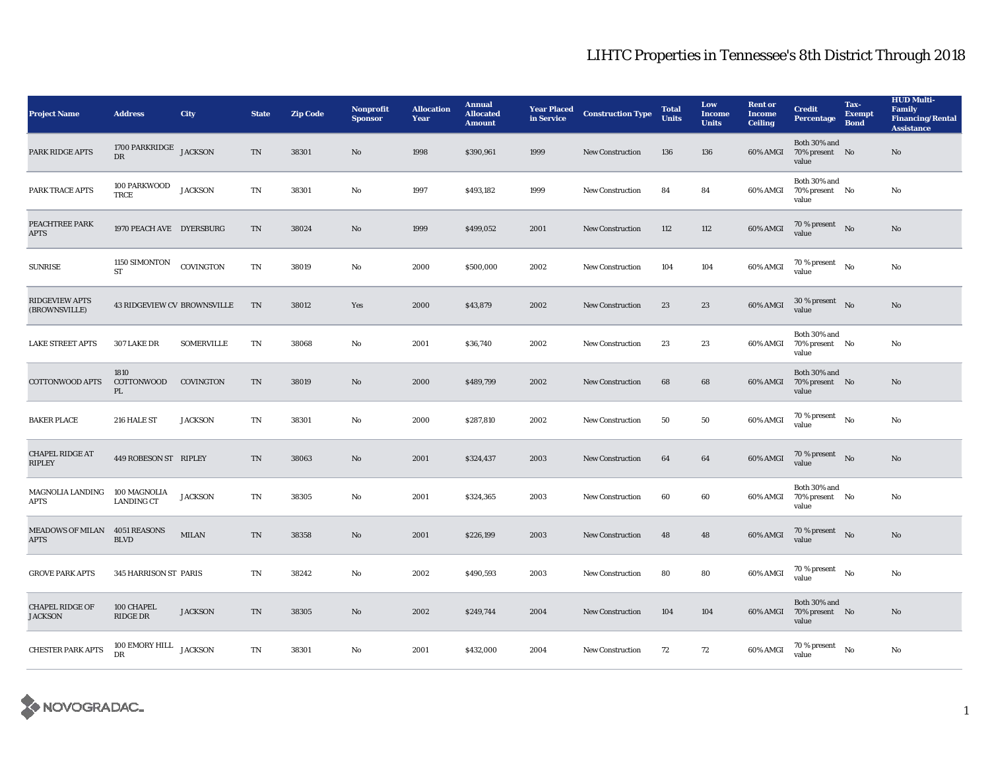| <b>Project Name</b>                          | <b>Address</b>                      | <b>City</b>       | <b>State</b> | <b>Zip Code</b> | Nonprofit<br><b>Sponsor</b> | <b>Allocation</b><br>Year | <b>Annual</b><br><b>Allocated</b><br><b>Amount</b> | <b>Year Placed</b><br>in Service | <b>Construction Type</b> | <b>Total</b><br><b>Units</b> | Low<br><b>Income</b><br><b>Units</b> | <b>Rent or</b><br><b>Income</b><br><b>Ceiling</b> | <b>Credit</b><br><b>Percentage</b>          | Tax-<br><b>Exempt</b><br><b>Bond</b> | <b>HUD Multi-</b><br>Family<br><b>Financing/Rental</b><br><b>Assistance</b> |
|----------------------------------------------|-------------------------------------|-------------------|--------------|-----------------|-----------------------------|---------------------------|----------------------------------------------------|----------------------------------|--------------------------|------------------------------|--------------------------------------|---------------------------------------------------|---------------------------------------------|--------------------------------------|-----------------------------------------------------------------------------|
| PARK RIDGE APTS                              | 1700 PARKRIDGE JACKSON<br>DR        |                   | TN           | 38301           | No                          | 1998                      | \$390,961                                          | 1999                             | New Construction         | 136                          | 136                                  | 60% AMGI                                          | Both 30% and<br>70% present No<br>value     |                                      | No                                                                          |
| PARK TRACE APTS                              | 100 PARKWOOD<br>TRCE                | <b>JACKSON</b>    | TN           | 38301           | $\mathbf{No}$               | 1997                      | \$493,182                                          | 1999                             | <b>New Construction</b>  | 84                           | 84                                   | 60% AMGI                                          | Both 30% and<br>70% present No<br>value     |                                      | No                                                                          |
| PEACHTREE PARK<br><b>APTS</b>                | 1970 PEACH AVE DYERSBURG            |                   | TN           | 38024           | $\rm No$                    | 1999                      | \$499,052                                          | 2001                             | New Construction         | 112                          | 112                                  | 60% AMGI                                          | $70\,\%$ present $$\rm{No}$$ value          |                                      | $\rm No$                                                                    |
| <b>SUNRISE</b>                               | 1150 SIMONTON<br><b>ST</b>          | COVINGTON         | TN           | 38019           | $\mathbf{No}$               | 2000                      | \$500,000                                          | 2002                             | <b>New Construction</b>  | 104                          | 104                                  | 60% AMGI                                          | $70\%$ present $N_0$<br>value               |                                      | $\mathbf{No}$                                                               |
| <b>RIDGEVIEW APTS</b><br>(BROWNSVILLE)       | <b>43 RIDGEVIEW CV BROWNSVILLE</b>  |                   | TN           | 38012           | Yes                         | 2000                      | \$43,879                                           | 2002                             | <b>New Construction</b>  | 23                           | 23                                   | 60% AMGI                                          | $30\%$ present No<br>value                  |                                      | No                                                                          |
| <b>LAKE STREET APTS</b>                      | 307 LAKE DR                         | <b>SOMERVILLE</b> | TN           | 38068           | $\mathbf{No}$               | 2001                      | \$36,740                                           | 2002                             | <b>New Construction</b>  | 23                           | 23                                   | 60% AMGI                                          | Both 30% and<br>70% present No<br>value     |                                      | No                                                                          |
| <b>COTTONWOOD APTS</b>                       | 1810<br>COTTONWOOD<br>PL            | <b>COVINGTON</b>  | TN           | 38019           | No                          | 2000                      | \$489,799                                          | 2002                             | New Construction         | 68                           | 68                                   | 60% AMGI                                          | Both 30% and<br>70% present No<br>value     |                                      | No                                                                          |
| <b>BAKER PLACE</b>                           | 216 HALE ST                         | <b>JACKSON</b>    | TN           | 38301           | $\mathbf{No}$               | 2000                      | \$287,810                                          | 2002                             | <b>New Construction</b>  | 50                           | 50                                   | 60% AMGI                                          | 70 % present<br>value                       | No                                   | $\rm No$                                                                    |
| <b>CHAPEL RIDGE AT</b><br><b>RIPLEY</b>      | 449 ROBESON ST RIPLEY               |                   | TN           | 38063           | No                          | 2001                      | \$324,437                                          | 2003                             | <b>New Construction</b>  | 64                           | 64                                   | 60% AMGI                                          | $70$ % present $\;\;$ No $\;\;$<br>value    |                                      | $\rm No$                                                                    |
| <b>MAGNOLIA LANDING</b><br><b>APTS</b>       | 100 MAGNOLIA<br><b>LANDING CT</b>   | <b>JACKSON</b>    | TN           | 38305           | No                          | 2001                      | \$324,365                                          | 2003                             | <b>New Construction</b>  | 60                           | 60                                   | 60% AMGI                                          | Both 30% and<br>70% present No<br>value     |                                      | $\mathbf{No}$                                                               |
| MEADOWS OF MILAN 4051 REASONS<br><b>APTS</b> | <b>BLVD</b>                         | <b>MILAN</b>      | TN           | 38358           | No                          | 2001                      | \$226,199                                          | 2003                             | <b>New Construction</b>  | 48                           | 48                                   | 60% AMGI                                          | $70\,\%$ present $$\rm{No}$$ value          |                                      | No                                                                          |
| <b>GROVE PARK APTS</b>                       | 345 HARRISON ST PARIS               |                   | TN           | 38242           | No                          | 2002                      | \$490,593                                          | 2003                             | <b>New Construction</b>  | 80                           | 80                                   | 60% AMGI                                          | $70$ % present $\quad$ $_{\rm No}$<br>value |                                      | No                                                                          |
| <b>CHAPEL RIDGE OF</b><br><b>JACKSON</b>     | 100 CHAPEL<br>RIDGE DR              | <b>JACKSON</b>    | TN           | 38305           | No                          | 2002                      | \$249,744                                          | 2004                             | New Construction         | 104                          | 104                                  | 60% AMGI                                          | Both 30% and<br>70% present No<br>value     |                                      | No                                                                          |
| <b>CHESTER PARK APTS</b>                     | 100 EMORY HILL JACKSON<br><b>DR</b> |                   | TN           | 38301           | No                          | 2001                      | \$432,000                                          | 2004                             | <b>New Construction</b>  | 72                           | 72                                   | 60% AMGI                                          | 70 % present<br>value                       | No                                   | $\mathbf{No}$                                                               |

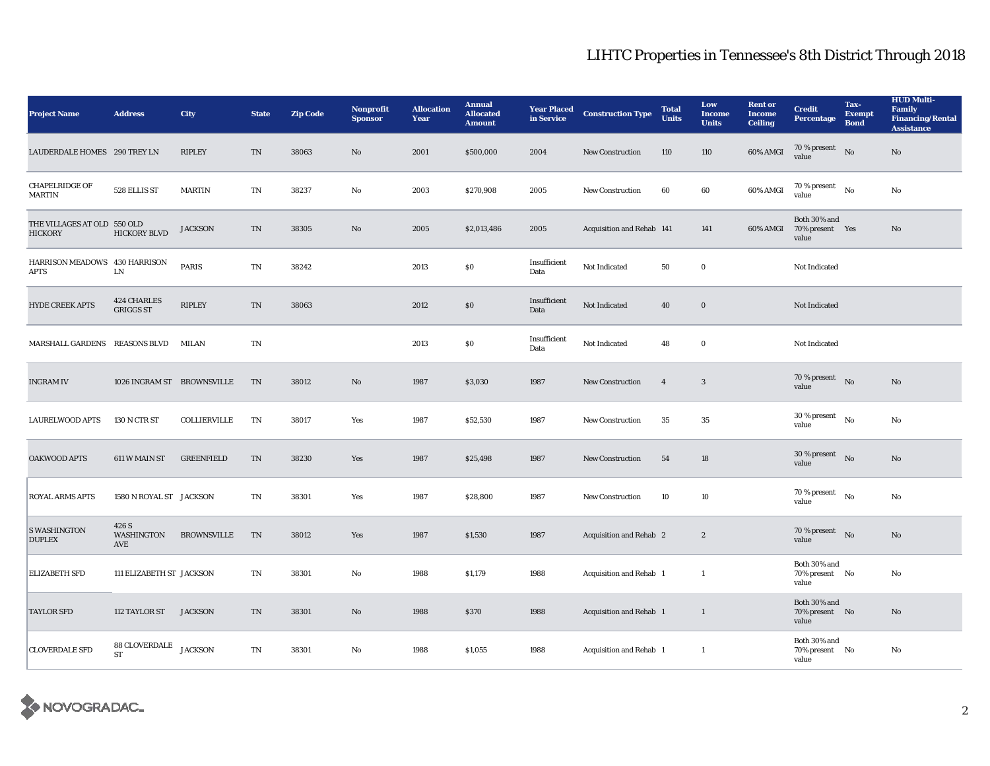| <b>Project Name</b>                           | <b>Address</b>                         | City               | <b>State</b> | <b>Zip Code</b> | Nonprofit<br><b>Sponsor</b> | <b>Allocation</b><br>Year | <b>Annual</b><br><b>Allocated</b><br><b>Amount</b> | <b>Year Placed</b><br>in Service | <b>Construction Type</b>       | <b>Total</b><br><b>Units</b> | Low<br><b>Income</b><br><b>Units</b> | <b>Rent or</b><br><b>Income</b><br><b>Ceiling</b> | <b>Credit</b><br><b>Percentage</b>       | Tax-<br><b>Exempt</b><br><b>Bond</b> | <b>HUD Multi-</b><br><b>Family</b><br><b>Financing/Rental</b><br><b>Assistance</b> |
|-----------------------------------------------|----------------------------------------|--------------------|--------------|-----------------|-----------------------------|---------------------------|----------------------------------------------------|----------------------------------|--------------------------------|------------------------------|--------------------------------------|---------------------------------------------------|------------------------------------------|--------------------------------------|------------------------------------------------------------------------------------|
| LAUDERDALE HOMES 290 TREY LN                  |                                        | <b>RIPLEY</b>      | TN           | 38063           | No                          | 2001                      | \$500,000                                          | 2004                             | New Construction               | 110                          | 110                                  | 60% AMGI                                          | 70 % present<br>value                    | No                                   | $\rm No$                                                                           |
| <b>CHAPELRIDGE OF</b><br>MARTIN               | 528 ELLIS ST                           | <b>MARTIN</b>      | TN           | 38237           | No                          | 2003                      | \$270,908                                          | 2005                             | <b>New Construction</b>        | 60                           | 60                                   | 60% AMGI                                          | $70$ % present $$_{\rm No}$$<br>value    |                                      | No                                                                                 |
| THE VILLAGES AT OLD 550 OLD<br><b>HICKORY</b> | <b>HICKORY BLVD</b>                    | <b>JACKSON</b>     | TN           | 38305           | $\mathbf{N}\mathbf{o}$      | 2005                      | \$2,013,486                                        | 2005                             | Acquisition and Rehab 141      |                              | 141                                  | 60% AMGI                                          | Both 30% and<br>70% present Yes<br>value |                                      | $\rm No$                                                                           |
| HARRISON MEADOWS 430 HARRISON<br><b>APTS</b>  | ${\rm LN}$                             | <b>PARIS</b>       | TN           | 38242           |                             | 2013                      | $\boldsymbol{\mathsf{S}}\boldsymbol{\mathsf{0}}$   | Insufficient<br>Data             | Not Indicated                  | 50                           | $\bf{0}$                             |                                                   | Not Indicated                            |                                      |                                                                                    |
| <b>HYDE CREEK APTS</b>                        | <b>424 CHARLES</b><br><b>GRIGGS ST</b> | <b>RIPLEY</b>      | TN           | 38063           |                             | 2012                      | S <sub>0</sub>                                     | Insufficient<br>Data             | Not Indicated                  | 40                           | $\bf{0}$                             |                                                   | Not Indicated                            |                                      |                                                                                    |
| MARSHALL GARDENS REASONS BLVD MILAN           |                                        |                    | $\rm TN$     |                 |                             | 2013                      | $\boldsymbol{\mathsf{S}}\boldsymbol{\mathsf{0}}$   | Insufficient<br>Data             | Not Indicated                  | 48                           | $\bf{0}$                             |                                                   | Not Indicated                            |                                      |                                                                                    |
| <b>INGRAM IV</b>                              | 1026 INGRAM ST BROWNSVILLE             |                    | TN           | 38012           | No                          | 1987                      | \$3,030                                            | 1987                             | <b>New Construction</b>        | $\overline{4}$               | $\mathbf{3}$                         |                                                   | 70 % present $\quad N$ o<br>value        |                                      | No                                                                                 |
| <b>LAURELWOOD APTS</b>                        | 130 N CTR ST                           | COLLIERVILLE       | TN           | 38017           | Yes                         | 1987                      | \$52,530                                           | 1987                             | <b>New Construction</b>        | 35                           | 35                                   |                                                   | 30 % present<br>value                    | No                                   | No                                                                                 |
| OAKWOOD APTS                                  | 611 W MAIN ST                          | <b>GREENFIELD</b>  | TN           | 38230           | Yes                         | 1987                      | \$25,498                                           | 1987                             | <b>New Construction</b>        | 54                           | 18                                   |                                                   | $30\,\%$ present<br>value                | No                                   | No                                                                                 |
| ROYAL ARMS APTS                               | 1580 N ROYAL ST JACKSON                |                    | TN           | 38301           | Yes                         | 1987                      | \$28,800                                           | 1987                             | <b>New Construction</b>        | 10                           | 10                                   |                                                   | 70 % present<br>value                    | No                                   | No                                                                                 |
| <b>S WASHINGTON</b><br><b>DUPLEX</b>          | 426 S<br>WASHINGTON<br>AVE             | <b>BROWNSVILLE</b> | TN           | 38012           | Yes                         | 1987                      | \$1,530                                            | 1987                             | <b>Acquisition and Rehab 2</b> |                              | $\boldsymbol{2}$                     |                                                   | 70 % present<br>value                    | No                                   | No                                                                                 |
| <b>ELIZABETH SFD</b>                          | 111 ELIZABETH ST JACKSON               |                    | TN           | 38301           | $\mathbf{No}$               | 1988                      | \$1,179                                            | 1988                             | <b>Acquisition and Rehab 1</b> |                              | $\mathbf{1}$                         |                                                   | Both 30% and<br>70% present No<br>value  |                                      | $\mathbf{No}$                                                                      |
| <b>TAYLOR SFD</b>                             | 112 TAYLOR ST                          | <b>JACKSON</b>     | TN           | 38301           | No                          | 1988                      | \$370                                              | 1988                             | Acquisition and Rehab 1        |                              | $\mathbf{1}$                         |                                                   | Both 30% and<br>70% present No<br>value  |                                      | No                                                                                 |
| <b>CLOVERDALE SFD</b>                         | $88\,$ CLOVERDALE<br><b>ST</b>         | <b>JACKSON</b>     | TN           | 38301           | No                          | 1988                      | \$1,055                                            | 1988                             | Acquisition and Rehab 1        |                              | -1                                   |                                                   | Both 30% and<br>70% present No<br>value  |                                      | No                                                                                 |

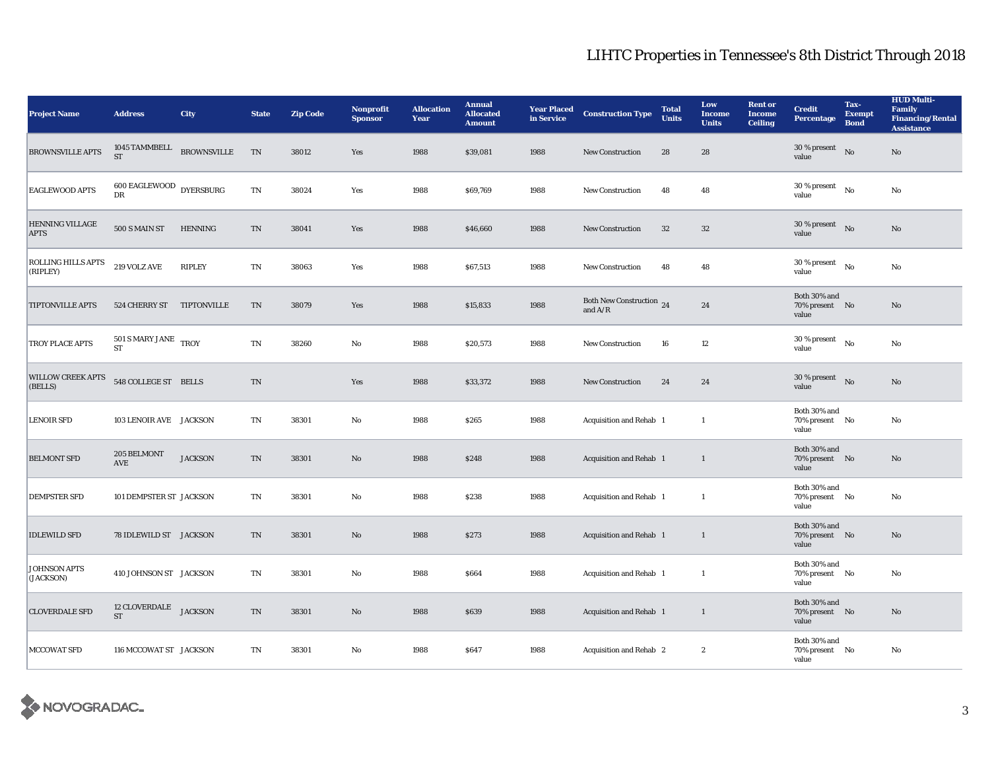| <b>Project Name</b>                   | <b>Address</b>                       | City               | <b>State</b>               | <b>Zip Code</b> | <b>Nonprofit</b><br><b>Sponsor</b> | <b>Allocation</b><br>Year | <b>Annual</b><br><b>Allocated</b><br><b>Amount</b> | <b>Year Placed</b><br>in Service | <b>Construction Type</b>              | <b>Total</b><br><b>Units</b> | Low<br><b>Income</b><br><b>Units</b> | <b>Rent or</b><br><b>Income</b><br><b>Ceiling</b> | <b>Credit</b><br><b>Percentage</b>      | Tax-<br><b>Exempt</b><br><b>Bond</b> | <b>HUD Multi-</b><br><b>Family</b><br><b>Financing/Rental</b><br><b>Assistance</b> |
|---------------------------------------|--------------------------------------|--------------------|----------------------------|-----------------|------------------------------------|---------------------------|----------------------------------------------------|----------------------------------|---------------------------------------|------------------------------|--------------------------------------|---------------------------------------------------|-----------------------------------------|--------------------------------------|------------------------------------------------------------------------------------|
| <b>BROWNSVILLE APTS</b>               | 1045 TAMMBELL<br><b>ST</b>           | <b>BROWNSVILLE</b> | TN                         | 38012           | Yes                                | 1988                      | \$39,081                                           | 1988                             | <b>New Construction</b>               | 28                           | 28                                   |                                                   | 30 % present<br>value                   | No                                   | No                                                                                 |
| <b>EAGLEWOOD APTS</b>                 | $600$ EAGLEWOOD $\,$ DYERSBURG<br>DR |                    | TN                         | 38024           | Yes                                | 1988                      | \$69,769                                           | 1988                             | New Construction                      | 48                           | 48                                   |                                                   | 30 % present<br>value                   | No                                   | No                                                                                 |
| <b>HENNING VILLAGE</b><br><b>APTS</b> | 500 S MAIN ST                        | <b>HENNING</b>     | TN                         | 38041           | Yes                                | 1988                      | \$46,660                                           | 1988                             | New Construction                      | $32\phantom{.0}$             | $32\,$                               |                                                   | 30 % present<br>value                   | No                                   | $\rm No$                                                                           |
| ROLLING HILLS APTS<br>(RIPLEY)        | 219 VOLZ AVE                         | <b>RIPLEY</b>      | <b>TN</b>                  | 38063           | Yes                                | 1988                      | \$67,513                                           | 1988                             | <b>New Construction</b>               | 48                           | 48                                   |                                                   | 30 % present<br>value                   | No                                   | No                                                                                 |
| <b>TIPTONVILLE APTS</b>               | 524 CHERRY ST                        | TIPTONVILLE        | <b>TN</b>                  | 38079           | Yes                                | 1988                      | \$15,833                                           | 1988                             | Both New Construction 24<br>and $A/R$ |                              | 24                                   |                                                   | Both 30% and<br>70% present No<br>value |                                      | No                                                                                 |
| TROY PLACE APTS                       | 501 S MARY JANE TROY<br><b>ST</b>    |                    | $\mathop{\rm TN}\nolimits$ | 38260           | $\rm No$                           | 1988                      | \$20,573                                           | 1988                             | New Construction                      | ${\bf 16}$                   | $12\,$                               |                                                   | 30 % present<br>value                   | No                                   | $\rm No$                                                                           |
| <b>WILLOW CREEK APTS</b><br>(BELLS)   | 548 COLLEGE ST BELLS                 |                    | TN                         |                 | Yes                                | 1988                      | \$33,372                                           | 1988                             | New Construction                      | 24                           | 24                                   |                                                   | 30 % present<br>value                   | N <sub>0</sub>                       | No                                                                                 |
| <b>LENOIR SFD</b>                     | 103 LENOIR AVE JACKSON               |                    | TN                         | 38301           | No                                 | 1988                      | \$265                                              | 1988                             | Acquisition and Rehab 1               |                              | $\mathbf{1}$                         |                                                   | Both 30% and<br>70% present No<br>value |                                      | No                                                                                 |
| <b>BELMONT SFD</b>                    | 205 BELMONT<br>AVE                   | <b>JACKSON</b>     | TN                         | 38301           | $\rm No$                           | 1988                      | \$248                                              | 1988                             | Acquisition and Rehab 1               |                              | $\mathbf{1}$                         |                                                   | Both 30% and<br>70% present No<br>value |                                      | $\rm No$                                                                           |
| <b>DEMPSTER SFD</b>                   | 101 DEMPSTER ST JACKSON              |                    | TN                         | 38301           | $\rm No$                           | 1988                      | \$238                                              | 1988                             | Acquisition and Rehab 1               |                              | $\mathbf{1}$                         |                                                   | Both 30% and<br>70% present No<br>value |                                      | No                                                                                 |
| <b>IDLEWILD SFD</b>                   | 78 IDLEWILD ST JACKSON               |                    | <b>TN</b>                  | 38301           | $\rm No$                           | 1988                      | \$273                                              | 1988                             | Acquisition and Rehab 1               |                              | $\mathbf{1}$                         |                                                   | Both 30% and<br>70% present No<br>value |                                      | No                                                                                 |
| JOHNSON APTS<br>(JACKSON)             | 410 JOHNSON ST JACKSON               |                    | TN                         | 38301           | $\rm No$                           | 1988                      | \$664                                              | 1988                             | Acquisition and Rehab 1               |                              | $\mathbf{1}$                         |                                                   | Both 30% and<br>70% present No<br>value |                                      | $\mathbf{No}$                                                                      |
| <b>CLOVERDALE SFD</b>                 | 12 CLOVERDALE JACKSON<br><b>ST</b>   |                    | TN                         | 38301           | $\rm No$                           | 1988                      | \$639                                              | 1988                             | <b>Acquisition and Rehab 1</b>        |                              | 1                                    |                                                   | Both 30% and<br>70% present No<br>value |                                      | No                                                                                 |
| <b>MCCOWAT SFD</b>                    | 116 MCCOWAT ST JACKSON               |                    | TN                         | 38301           | No                                 | 1988                      | \$647                                              | 1988                             | Acquisition and Rehab 2               |                              | $\boldsymbol{2}$                     |                                                   | Both 30% and<br>70% present No<br>value |                                      | No                                                                                 |

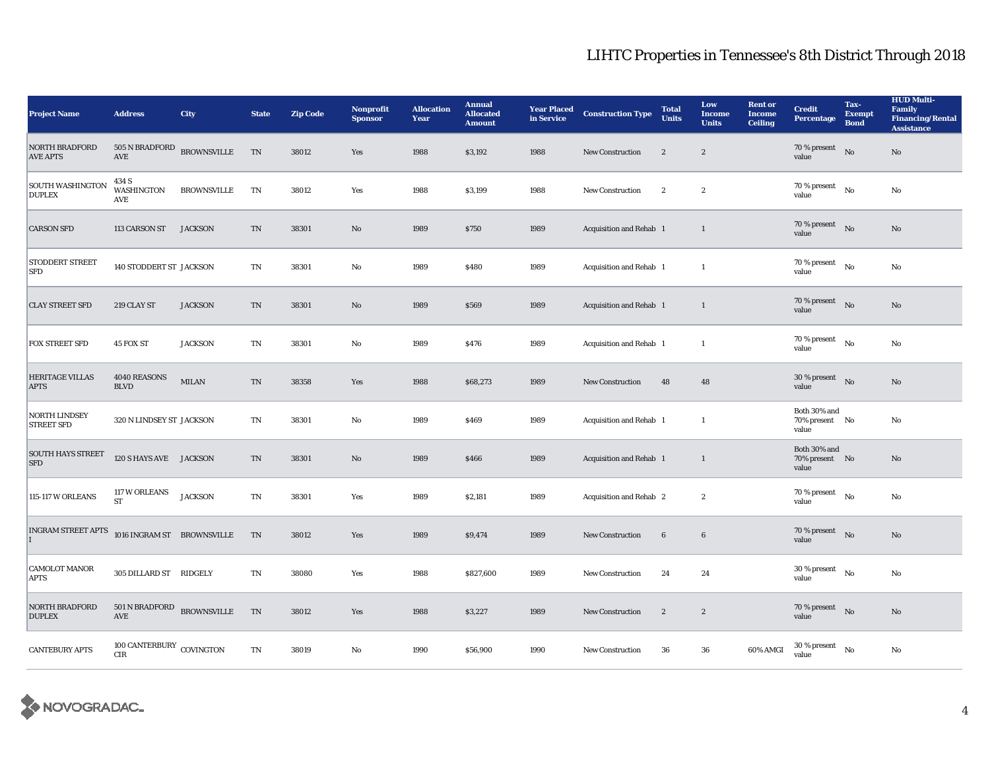| <b>Project Name</b>                       | <b>Address</b>                      | City               | <b>State</b>           | <b>Zip Code</b> | <b>Nonprofit</b><br><b>Sponsor</b> | <b>Allocation</b><br>Year | <b>Annual</b><br><b>Allocated</b><br><b>Amount</b> | <b>Year Placed</b><br>in Service | <b>Construction Type</b> | <b>Total</b><br><b>Units</b> | Low<br><b>Income</b><br><b>Units</b> | <b>Rent or</b><br><b>Income</b><br><b>Ceiling</b> | <b>Credit</b><br><b>Percentage</b>      | Tax-<br><b>Exempt</b><br><b>Bond</b> | <b>HUD Multi-</b><br>Family<br><b>Financing/Rental</b><br><b>Assistance</b> |
|-------------------------------------------|-------------------------------------|--------------------|------------------------|-----------------|------------------------------------|---------------------------|----------------------------------------------------|----------------------------------|--------------------------|------------------------------|--------------------------------------|---------------------------------------------------|-----------------------------------------|--------------------------------------|-----------------------------------------------------------------------------|
| <b>NORTH BRADFORD</b><br><b>AVE APTS</b>  | 505 N BRADFORD<br>AVE               | <b>BROWNSVILLE</b> | TN                     | 38012           | Yes                                | 1988                      | \$3,192                                            | 1988                             | <b>New Construction</b>  | $\boldsymbol{2}$             | $\boldsymbol{2}$                     |                                                   | 70 % present<br>value                   | No                                   | No                                                                          |
| <b>SOUTH WASHINGTON</b><br><b>DUPLEX</b>  | 434 S<br><b>WASHINGTON</b><br>AVE   | <b>BROWNSVILLE</b> | TN                     | 38012           | Yes                                | 1988                      | \$3,199                                            | 1988                             | New Construction         | $\boldsymbol{2}$             | $\boldsymbol{2}$                     |                                                   | 70 % present<br>value                   | No                                   | $\mathbf{No}$                                                               |
| <b>CARSON SFD</b>                         | 113 CARSON ST                       | <b>JACKSON</b>     | <b>TN</b>              | 38301           | No                                 | 1989                      | <b>S750</b>                                        | 1989                             | Acquisition and Rehab 1  |                              | 1                                    |                                                   | 70 % present<br>value                   | No                                   | No                                                                          |
| <b>STODDERT STREET</b><br><b>SFD</b>      | 140 STODDERT ST JACKSON             |                    | TN                     | 38301           | No                                 | 1989                      | \$480                                              | 1989                             | Acquisition and Rehab 1  |                              | $\mathbf{1}$                         |                                                   | 70 % present<br>value                   | No                                   | No                                                                          |
| <b>CLAY STREET SFD</b>                    | 219 CLAY ST                         | <b>JACKSON</b>     | TN                     | 38301           | No                                 | 1989                      | \$569                                              | 1989                             | Acquisition and Rehab 1  |                              | 1                                    |                                                   | 70 % present<br>value                   | No                                   | No                                                                          |
| FOX STREET SFD                            | 45 FOX ST                           | <b>JACKSON</b>     | TN                     | 38301           | No                                 | 1989                      | \$476                                              | 1989                             | Acquisition and Rehab 1  |                              | $\mathbf{1}$                         |                                                   | 70 % present<br>value                   | No                                   | No                                                                          |
| <b>HERITAGE VILLAS</b><br><b>APTS</b>     | 4040 REASONS<br><b>BLVD</b>         | <b>MILAN</b>       | TN                     | 38358           | Yes                                | 1988                      | \$68,273                                           | 1989                             | <b>New Construction</b>  | 48                           | 48                                   |                                                   | $30\%$ present No<br>value              |                                      | No                                                                          |
| <b>NORTH LINDSEY</b><br><b>STREET SFD</b> | 320 N LINDSEY ST JACKSON            |                    | <b>TN</b>              | 38301           | No                                 | 1989                      | \$469                                              | 1989                             | Acquisition and Rehab 1  |                              | 1                                    |                                                   | Both 30% and<br>70% present No<br>value |                                      | $\mathbf{No}$                                                               |
| <b>SOUTH HAYS STREET</b><br><b>SFD</b>    | 120 S HAYS AVE JACKSON              |                    | TN                     | 38301           | No                                 | 1989                      | \$466                                              | 1989                             | Acquisition and Rehab 1  |                              | 1                                    |                                                   | Both 30% and<br>70% present No<br>value |                                      | No                                                                          |
| 115-117 W ORLEANS                         | 117 W ORLEANS<br><b>ST</b>          | <b>JACKSON</b>     | TN                     | 38301           | Yes                                | 1989                      | \$2,181                                            | 1989                             | Acquisition and Rehab 2  |                              | $\boldsymbol{2}$                     |                                                   | $70$ % present<br>value                 | No                                   | No                                                                          |
| <b>INGRAM STREET APTS</b>                 | $1016$ INGRAM ST $\;$ BROWNSVILLE   |                    | TN                     | 38012           | Yes                                | 1989                      | \$9,474                                            | 1989                             | <b>New Construction</b>  | $6\phantom{.0}$              | $6\phantom{.0}$                      |                                                   | 70 % present<br>value                   | No                                   | No                                                                          |
| <b>CAMOLOT MANOR</b><br><b>APTS</b>       | 305 DILLARD ST RIDGELY              |                    | TN                     | 38080           | Yes                                | 1988                      | \$827,600                                          | 1989                             | <b>New Construction</b>  | 24                           | 24                                   |                                                   | 30 % present<br>value                   | No                                   | No                                                                          |
| <b>NORTH BRADFORD</b><br><b>DUPLEX</b>    | $501$ N BRADFORD BROWNSVILLE<br>AVE |                    | TN                     | 38012           | Yes                                | 1988                      | \$3,227                                            | 1989                             | <b>New Construction</b>  | $\boldsymbol{2}$             | $\boldsymbol{2}$                     |                                                   | 70 % present<br>value                   | No                                   | No                                                                          |
| <b>CANTEBURY APTS</b>                     | 100 CANTERBURY COVINGTON<br>CIR     |                    | $\mathbf{T}\mathbf{N}$ | 38019           | No                                 | 1990                      | \$56,900                                           | 1990                             | New Construction         | 36                           | 36                                   | 60% AMGI                                          | 30 % present<br>value                   | No                                   | No                                                                          |

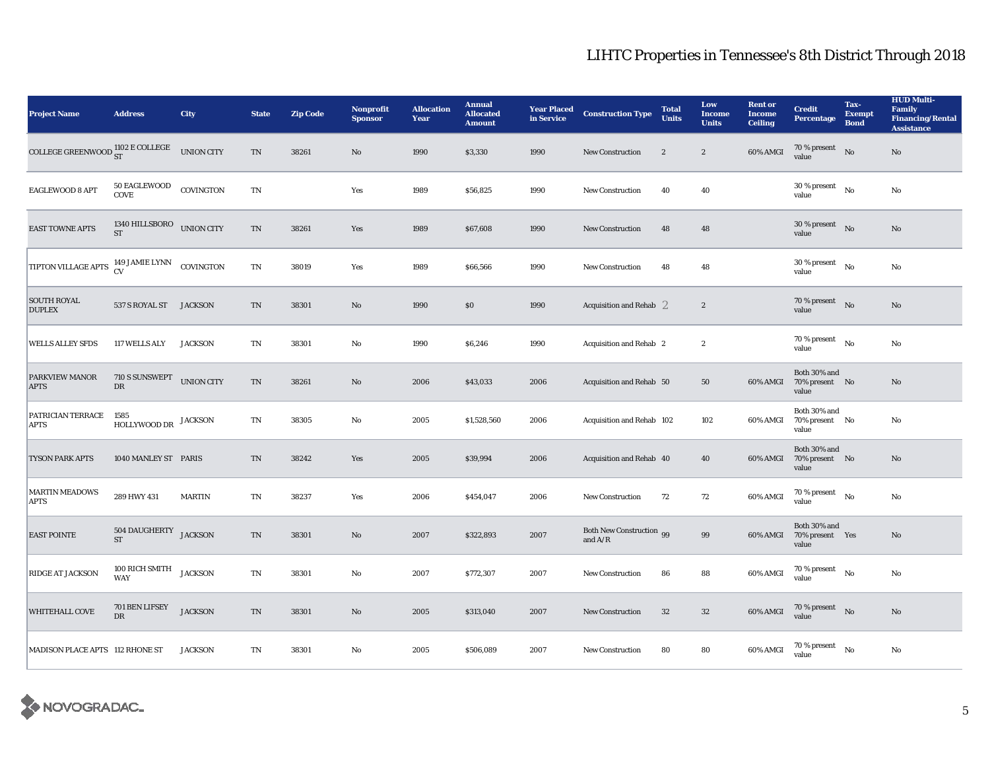| <b>Project Name</b>                                     | <b>Address</b>                               | City           | <b>State</b>               | <b>Zip Code</b> | Nonprofit<br><b>Sponsor</b> | <b>Allocation</b><br>Year | <b>Annual</b><br><b>Allocated</b><br><b>Amount</b> | <b>Year Placed<br/>in Service</b> | <b>Construction Type</b>                  | <b>Total</b><br><b>Units</b> | Low<br><b>Income</b><br><b>Units</b> | <b>Rent or</b><br><b>Income</b><br><b>Ceiling</b> | <b>Credit</b><br><b>Percentage</b>          | Tax-<br><b>Exempt</b><br><b>Bond</b> | <b>HUD Multi-</b><br><b>Family</b><br><b>Financing/Rental</b><br><b>Assistance</b> |
|---------------------------------------------------------|----------------------------------------------|----------------|----------------------------|-----------------|-----------------------------|---------------------------|----------------------------------------------------|-----------------------------------|-------------------------------------------|------------------------------|--------------------------------------|---------------------------------------------------|---------------------------------------------|--------------------------------------|------------------------------------------------------------------------------------|
| COLLEGE GREENWOOD $_{ST}^{1102}$ E COLLEGE UNION CITY   |                                              |                | TN                         | 38261           | No                          | 1990                      | \$3,330                                            | 1990                              | <b>New Construction</b>                   | $\boldsymbol{2}$             | $\boldsymbol{2}$                     | $60\%$ AMGI                                       | $70\,\%$ present $$\rm{No}$$ value          |                                      | No                                                                                 |
| EAGLEWOOD 8 APT                                         | $50\,$ EAGLEWOOD<br>COVE                     | COVINGTON      | TN                         |                 | Yes                         | 1989                      | \$56,825                                           | 1990                              | <b>New Construction</b>                   | 40                           | 40                                   |                                                   | $30$ % present<br>value                     | N <sub>0</sub>                       | $\mathbf{No}$                                                                      |
| <b>EAST TOWNE APTS</b>                                  | 1340 HILLSBORO UNION CITY<br><b>ST</b>       |                | TN                         | 38261           | Yes                         | 1989                      | \$67,608                                           | 1990                              | <b>New Construction</b>                   | 48                           | 48                                   |                                                   | $30\%$ present No<br>value                  |                                      | No                                                                                 |
| TIPTON VILLAGE APTS <sup>149 JAMIE LYNN</sup> COVINGTON |                                              |                | $\mathbf{T}\mathbf{N}$     | 38019           | Yes                         | 1989                      | \$66,566                                           | 1990                              | <b>New Construction</b>                   | 48                           | 48                                   |                                                   | 30 % present $$_{\rm No}$$<br>value         |                                      | No                                                                                 |
| <b>SOUTH ROYAL</b><br><b>DUPLEX</b>                     | 537 S ROYAL ST JACKSON                       |                | TN                         | 38301           | No                          | 1990                      | \$0                                                | 1990                              | Acquisition and Rehab $2$                 |                              | $\boldsymbol{2}$                     |                                                   | 70 % present $\qquad N$ o<br>value          |                                      | No                                                                                 |
| <b>WELLS ALLEY SFDS</b>                                 | <b>117 WELLS ALY</b>                         | <b>JACKSON</b> | TN                         | 38301           | No                          | 1990                      | \$6,246                                            | 1990                              | Acquisition and Rehab 2                   |                              | $\boldsymbol{2}$                     |                                                   | 70 % present<br>value                       | No                                   | No                                                                                 |
| PARKVIEW MANOR<br><b>APTS</b>                           | 710 S SUNSWEPT UNION CITY<br>DR              |                | $\mathop{\rm TN}\nolimits$ | 38261           | No                          | 2006                      | \$43,033                                           | 2006                              | Acquisition and Rehab 50                  |                              | 50                                   | 60% AMGI                                          | Both 30% and<br>70% present No<br>value     |                                      | $\rm No$                                                                           |
| PATRICIAN TERRACE<br><b>APTS</b>                        | 1585<br>$\operatorname{HOLLYWOOD}$ DR        | <b>JACKSON</b> | TN                         | 38305           | No                          | 2005                      | \$1,528,560                                        | 2006                              | Acquisition and Rehab 102                 |                              | 102                                  | 60% AMGI                                          | Both 30% and<br>70% present No<br>value     |                                      | No                                                                                 |
| <b>TYSON PARK APTS</b>                                  | 1040 MANLEY ST PARIS                         |                | TN                         | 38242           | Yes                         | 2005                      | \$39,994                                           | 2006                              | Acquisition and Rehab 40                  |                              | 40                                   | 60% AMGI                                          | Both 30% and<br>70% present No<br>value     |                                      | $\rm No$                                                                           |
| <b>MARTIN MEADOWS</b><br><b>APTS</b>                    | 289 HWY 431                                  | <b>MARTIN</b>  | TN                         | 38237           | Yes                         | 2006                      | \$454,047                                          | 2006                              | <b>New Construction</b>                   | 72                           | 72                                   | 60% AMGI                                          | $70$ % present<br>value                     | No                                   | No                                                                                 |
| <b>EAST POINTE</b>                                      | 504 DAUGHERTY JACKSON<br>$\operatorname{ST}$ |                | $\mathop{\rm TN}\nolimits$ | 38301           | No                          | 2007                      | \$322,893                                          | 2007                              | Both New Construction 99<br>and $\rm A/R$ |                              | 99                                   | 60% AMGI                                          | Both 30% and<br>70% present Yes<br>value    |                                      | $\rm No$                                                                           |
| RIDGE AT JACKSON                                        | 100 RICH SMITH JACKSON<br><b>WAY</b>         |                | TN                         | 38301           | No                          | 2007                      | \$772,307                                          | 2007                              | New Construction                          | 86                           | 88                                   | $60\%$ AMGI                                       | $70$ % present $\quad$ No<br>value          |                                      | No                                                                                 |
| <b>WHITEHALL COVE</b>                                   | 701 BEN LIFSEY<br>DR                         | <b>JACKSON</b> | $\mathop{\rm TN}\nolimits$ | 38301           | No                          | 2005                      | \$313,040                                          | 2007                              | New Construction                          | $32\,$                       | $32\,$                               | $60\%$ AMGI                                       | $70\,\%$ present $$\rm{No}$$ value          |                                      | $\rm No$                                                                           |
| MADISON PLACE APTS 112 RHONE ST                         |                                              | <b>JACKSON</b> | TN                         | 38301           | No                          | 2005                      | \$506,089                                          | 2007                              | <b>New Construction</b>                   | 80                           | 80                                   | 60% AMGI                                          | $70$ % present $\quad$ $_{\rm No}$<br>value |                                      | No                                                                                 |

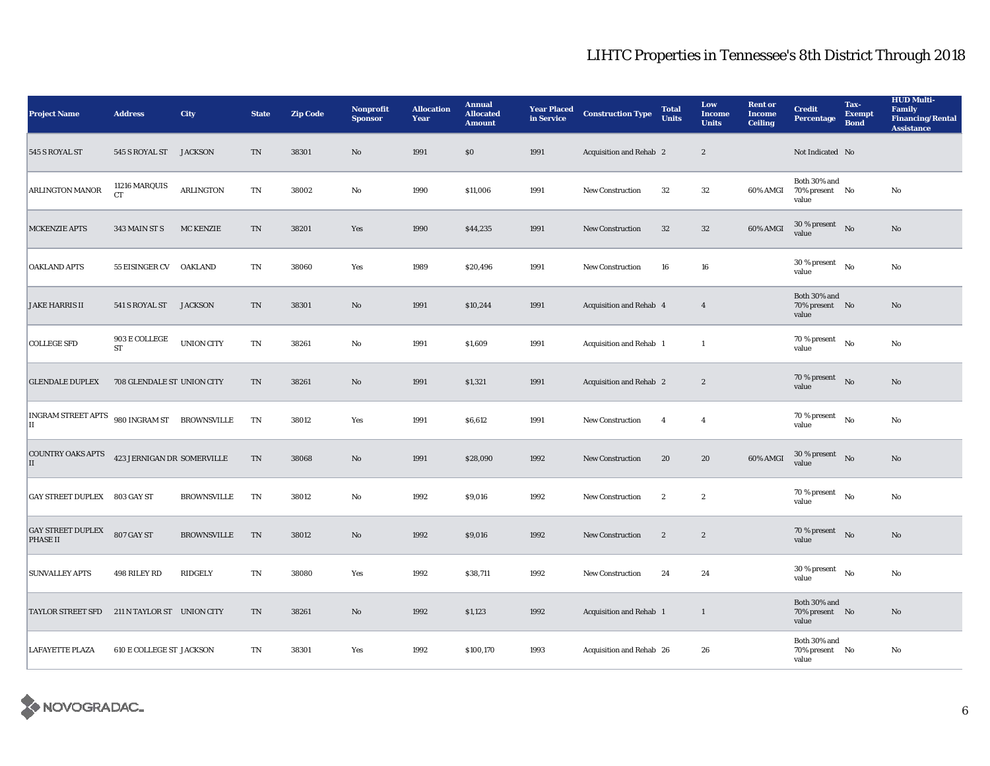| <b>Project Name</b>                                | <b>Address</b>                  | City               | <b>State</b>           | <b>Zip Code</b> | <b>Nonprofit</b><br><b>Sponsor</b> | <b>Allocation</b><br>Year | <b>Annual</b><br><b>Allocated</b><br><b>Amount</b> | <b>Year Placed</b><br>in Service | <b>Construction Type</b> | <b>Total</b><br><b>Units</b> | Low<br><b>Income</b><br><b>Units</b> | <b>Rent or</b><br><b>Income</b><br><b>Ceiling</b> | <b>Credit</b><br><b>Percentage</b>         | Tax-<br><b>Exempt</b><br><b>Bond</b> | <b>HUD Multi-</b><br><b>Family</b><br><b>Financing/Rental</b><br><b>Assistance</b> |
|----------------------------------------------------|---------------------------------|--------------------|------------------------|-----------------|------------------------------------|---------------------------|----------------------------------------------------|----------------------------------|--------------------------|------------------------------|--------------------------------------|---------------------------------------------------|--------------------------------------------|--------------------------------------|------------------------------------------------------------------------------------|
| 545 S ROYAL ST                                     | 545 S ROYAL ST                  | <b>JACKSON</b>     | TN                     | 38301           | $\mathbf{N}\mathbf{o}$             | 1991                      | \$0                                                | 1991                             | Acquisition and Rehab 2  |                              | $\boldsymbol{2}$                     |                                                   | Not Indicated No                           |                                      |                                                                                    |
| ARLINGTON MANOR                                    | 11216 MARQUIS<br><b>CT</b>      | <b>ARLINGTON</b>   | $\mathbf{T}\mathbf{N}$ | 38002           | $\rm No$                           | 1990                      | \$11,006                                           | 1991                             | <b>New Construction</b>  | $32\,$                       | $32\,$                               | 60% AMGI                                          | Both 30% and<br>70% present No<br>value    |                                      | No                                                                                 |
| <b>MCKENZIE APTS</b>                               | 343 MAIN ST S                   | <b>MC KENZIE</b>   | $\rm TN$               | 38201           | Yes                                | 1990                      | \$44,235                                           | 1991                             | <b>New Construction</b>  | 32                           | 32                                   | 60% AMGI                                          | $30\,\%$ present $$\rm{No}$$ value         |                                      | No                                                                                 |
| <b>OAKLAND APTS</b>                                | 55 EISINGER CV OAKLAND          |                    | TN                     | 38060           | Yes                                | 1989                      | \$20,496                                           | 1991                             | <b>New Construction</b>  | 16                           | ${\bf 16}$                           |                                                   | $30$ % present $\quad$ No $\quad$<br>value |                                      | No                                                                                 |
| <b>JAKE HARRIS II</b>                              | 541 S ROYAL ST                  | <b>JACKSON</b>     | TN                     | 38301           | $\mathbf{N}\mathbf{o}$             | 1991                      | \$10,244                                           | 1991                             | Acquisition and Rehab 4  |                              | $\overline{4}$                       |                                                   | Both 30% and<br>70% present No<br>value    |                                      | No                                                                                 |
| <b>COLLEGE SFD</b>                                 | 903 E COLLEGE<br><b>ST</b>      | <b>UNION CITY</b>  | $\mathbf{T}\mathbf{N}$ | 38261           | $\rm No$                           | 1991                      | \$1,609                                            | 1991                             | Acquisition and Rehab 1  |                              | $\mathbf{1}$                         |                                                   | $70\,\%$ present<br>value                  | No                                   | No                                                                                 |
| <b>GLENDALE DUPLEX</b>                             | 708 GLENDALE ST UNION CITY      |                    | TN                     | 38261           | $\mathbf{N}\mathbf{o}$             | 1991                      | \$1,321                                            | 1991                             | Acquisition and Rehab 2  |                              | $\boldsymbol{2}$                     |                                                   | 70 % present<br>value                      | No                                   | No                                                                                 |
| INGRAM STREET APTS 980 INGRAM ST BROWNSVILLE<br>IІ |                                 |                    | TN                     | 38012           | Yes                                | 1991                      | \$6,612                                            | 1991                             | <b>New Construction</b>  | $\overline{4}$               | $\boldsymbol{4}$                     |                                                   | 70 % present<br>value                      | No                                   | $\rm No$                                                                           |
| <b>COUNTRY OAKS APTS</b><br>II                     | 423 JERNIGAN DR SOMERVILLE      |                    | TN                     | 38068           | $\mathbf{N}\mathbf{o}$             | 1991                      | \$28,090                                           | 1992                             | <b>New Construction</b>  | 20                           | 20                                   | 60% AMGI                                          | $30\,\%$ present $$\rm{No}$$ value         |                                      | No                                                                                 |
| GAY STREET DUPLEX 803 GAY ST                       |                                 | BROWNSVILLE        | TN                     | 38012           | No                                 | 1992                      | \$9,016                                            | 1992                             | <b>New Construction</b>  | $\boldsymbol{2}$             | $\boldsymbol{2}$                     |                                                   | 70 % present<br>value                      | No                                   | No                                                                                 |
| <b>GAY STREET DUPLEX</b><br>PHASE II               | 807 GAY ST                      | <b>BROWNSVILLE</b> | TN                     | 38012           | $\mathbf{N}\mathbf{o}$             | 1992                      | \$9,016                                            | 1992                             | <b>New Construction</b>  | $\boldsymbol{2}$             | $\boldsymbol{2}$                     |                                                   | 70 % present $\qquad$ No<br>value          |                                      | No                                                                                 |
| <b>SUNVALLEY APTS</b>                              | 498 RILEY RD                    | RIDGELY            | $\mathbf{T}\mathbf{N}$ | 38080           | Yes                                | 1992                      | \$38,711                                           | 1992                             | <b>New Construction</b>  | 24                           | 24                                   |                                                   | $30$ % present $$_{\rm No}$$<br>value      |                                      | No                                                                                 |
| <b>TAYLOR STREET SFD</b>                           | 211 N TAYLOR ST UNION CITY      |                    | TN                     | 38261           | $\mathbf{N}\mathbf{o}$             | 1992                      | \$1,123                                            | 1992                             | Acquisition and Rehab 1  |                              | 1                                    |                                                   | Both 30% and<br>70% present No<br>value    |                                      | No                                                                                 |
| <b>LAFAYETTE PLAZA</b>                             | <b>610 E COLLEGE ST JACKSON</b> |                    | TN                     | 38301           | Yes                                | 1992                      | \$100,170                                          | 1993                             | Acquisition and Rehab 26 |                              | 26                                   |                                                   | Both 30% and<br>70% present No<br>value    |                                      | No                                                                                 |

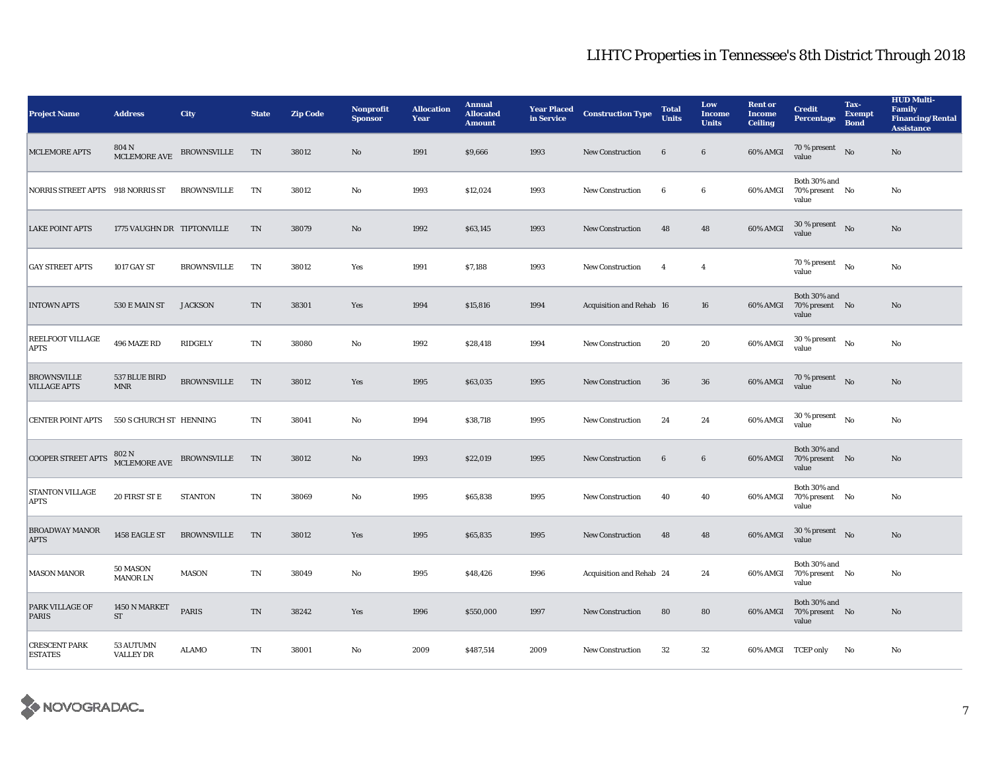| <b>Project Name</b>                       | <b>Address</b>                | City               | <b>State</b>           | <b>Zip Code</b> | Nonprofit<br><b>Sponsor</b> | <b>Allocation</b><br>Year | <b>Annual</b><br><b>Allocated</b><br><b>Amount</b> | <b>Year Placed</b><br>in Service | <b>Construction Type</b> | <b>Total</b><br><b>Units</b> | Low<br><b>Income</b><br><b>Units</b> | <b>Rent or</b><br><b>Income</b><br><b>Ceiling</b> | <b>Credit</b><br><b>Percentage</b>      | Tax-<br><b>Exempt</b><br><b>Bond</b> | <b>HUD Multi-</b><br><b>Family</b><br><b>Financing/Rental</b><br><b>Assistance</b> |
|-------------------------------------------|-------------------------------|--------------------|------------------------|-----------------|-----------------------------|---------------------------|----------------------------------------------------|----------------------------------|--------------------------|------------------------------|--------------------------------------|---------------------------------------------------|-----------------------------------------|--------------------------------------|------------------------------------------------------------------------------------|
| <b>MCLEMORE APTS</b>                      | 804 N<br>MCLEMORE AVE         | <b>BROWNSVILLE</b> | TN                     | 38012           | No                          | 1991                      | \$9,666                                            | 1993                             | <b>New Construction</b>  | $6\phantom{.0}$              | $\bf 6$                              | 60% AMGI                                          | $70\,\%$ present $$\rm{No}$$ value      |                                      | No                                                                                 |
| NORRIS STREET APTS 918 NORRIS ST          |                               | <b>BROWNSVILLE</b> | TN                     | 38012           | $\rm No$                    | 1993                      | \$12,024                                           | 1993                             | <b>New Construction</b>  | $6\phantom{.0}$              | $\boldsymbol{6}$                     | 60% AMGI                                          | Both 30% and<br>70% present No<br>value |                                      | $\mathbf{No}$                                                                      |
| <b>LAKE POINT APTS</b>                    | 1775 VAUGHN DR TIPTONVILLE    |                    | TN                     | 38079           | No                          | 1992                      | \$63,145                                           | 1993                             | <b>New Construction</b>  | 48                           | 48                                   | 60% AMGI                                          | $30\,\%$ present $$\rm{No}$$ value      |                                      | No                                                                                 |
| <b>GAY STREET APTS</b>                    | 1017 GAY ST                   | <b>BROWNSVILLE</b> | TN                     | 38012           | Yes                         | 1991                      | \$7,188                                            | 1993                             | <b>New Construction</b>  | $\overline{4}$               | $\overline{4}$                       |                                                   | 70 % present<br>value                   | No                                   | No                                                                                 |
| <b>INTOWN APTS</b>                        | 530 E MAIN ST                 | <b>JACKSON</b>     | $\mathbf{T}\mathbf{N}$ | 38301           | Yes                         | 1994                      | \$15,816                                           | 1994                             | Acquisition and Rehab 16 |                              | 16                                   | 60% AMGI                                          | Both 30% and<br>70% present No<br>value |                                      | No                                                                                 |
| REELFOOT VILLAGE<br><b>APTS</b>           | 496 MAZE RD                   | RIDGELY            | TN                     | 38080           | No                          | 1992                      | \$28,418                                           | 1994                             | <b>New Construction</b>  | 20                           | 20                                   | 60% AMGI                                          | $30$ % present $\hbox{~~No}$<br>value   |                                      | $\mathbf{No}$                                                                      |
| <b>BROWNSVILLE</b><br><b>VILLAGE APTS</b> | 537 BLUE BIRD<br><b>MNR</b>   | <b>BROWNSVILLE</b> | TN                     | 38012           | Yes                         | 1995                      | \$63,035                                           | 1995                             | <b>New Construction</b>  | 36                           | 36                                   | 60% AMGI                                          | $70$ % present $$\rm{No}$$<br>value     |                                      | $\rm No$                                                                           |
| <b>CENTER POINT APTS</b>                  | 550 S CHURCH ST HENNING       |                    | TN                     | 38041           | No                          | 1994                      | \$38,718                                           | 1995                             | <b>New Construction</b>  | 24                           | 24                                   | 60% AMGI                                          | $30$ % present $\hbox{~~No}$<br>value   |                                      | No                                                                                 |
| COOPER STREET APTS                        | $802$ N<br>MCLEMORE AVE $\,$  | <b>BROWNSVILLE</b> | TN                     | 38012           | No                          | 1993                      | \$22,019                                           | 1995                             | <b>New Construction</b>  | $6\phantom{.0}$              | $\bf 6$                              | 60% AMGI                                          | Both 30% and<br>70% present No<br>value |                                      | No                                                                                 |
| <b>STANTON VILLAGE</b><br><b>APTS</b>     | 20 FIRST ST E                 | <b>STANTON</b>     | TN                     | 38069           | No                          | 1995                      | \$65,838                                           | 1995                             | <b>New Construction</b>  | 40                           | 40                                   | 60% AMGI                                          | Both 30% and<br>70% present No<br>value |                                      | No                                                                                 |
| <b>BROADWAY MANOR</b><br><b>APTS</b>      | 1458 EAGLE ST                 | <b>BROWNSVILLE</b> | TN                     | 38012           | Yes                         | 1995                      | \$65,835                                           | 1995                             | New Construction         | 48                           | 48                                   | 60% AMGI                                          | $30\,\%$ present $$\rm{No}$$ value      |                                      | $\rm No$                                                                           |
| <b>MASON MANOR</b>                        | 50 MASON<br><b>MANOR LN</b>   | <b>MASON</b>       | TN                     | 38049           | No                          | 1995                      | \$48,426                                           | 1996                             | Acquisition and Rehab 24 |                              | 24                                   | 60% AMGI                                          | Both 30% and<br>70% present No<br>value |                                      | No                                                                                 |
| <b>PARK VILLAGE OF</b><br><b>PARIS</b>    | 1450 N MARKET<br>ST           | PARIS              | TN                     | 38242           | Yes                         | 1996                      | \$550,000                                          | 1997                             | New Construction         | 80                           | 80                                   | 60% AMGI                                          | Both 30% and<br>70% present No<br>value |                                      | No                                                                                 |
| <b>CRESCENT PARK</b><br><b>ESTATES</b>    | 53 AUTUMN<br><b>VALLEY DR</b> | ALAMO              | TN                     | 38001           | No                          | 2009                      | \$487,514                                          | 2009                             | <b>New Construction</b>  | 32                           | 32                                   | 60% AMGI TCEP only                                |                                         | No                                   | No                                                                                 |

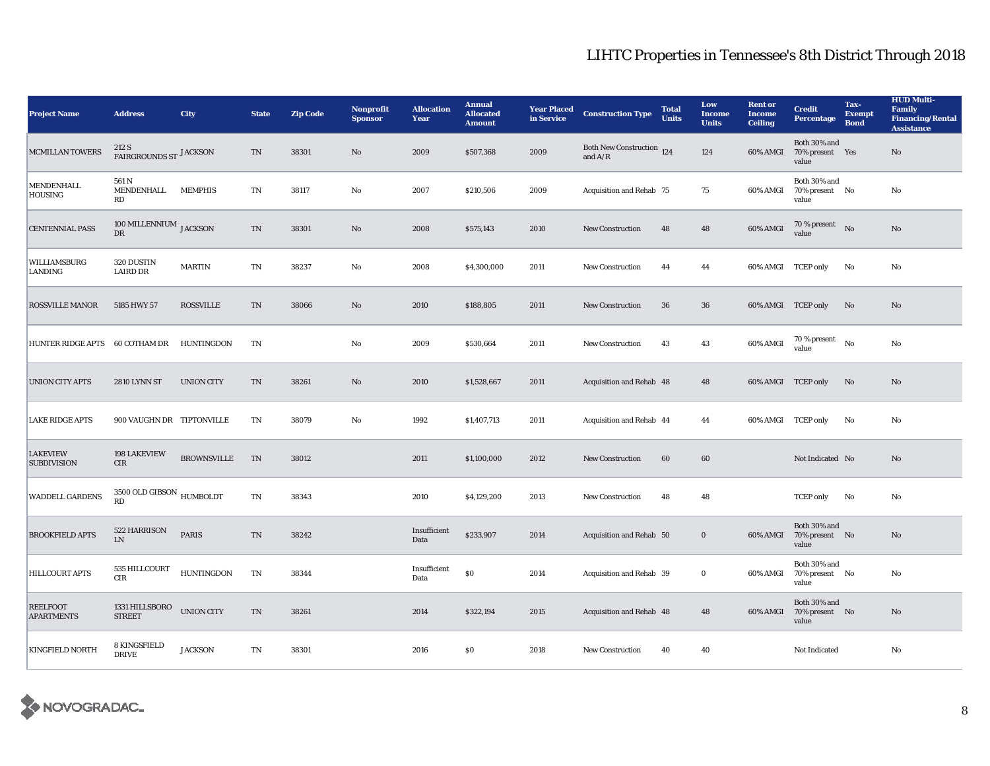| <b>Project Name</b>                   | <b>Address</b>                        | City               | <b>State</b> | <b>Zip Code</b> | <b>Nonprofit</b><br><b>Sponsor</b> | <b>Allocation</b><br>Year | <b>Annual</b><br><b>Allocated</b><br><b>Amount</b> | <b>Year Placed</b><br>in Service | <b>Construction Type</b>               | <b>Total</b><br><b>Units</b> | Low<br><b>Income</b><br><b>Units</b> | <b>Rent or</b><br><b>Income</b><br><b>Ceiling</b> | <b>Credit</b><br><b>Percentage</b>       | Tax-<br><b>Exempt</b><br><b>Bond</b> | <b>HUD Multi-</b><br><b>Family</b><br><b>Financing/Rental</b><br><b>Assistance</b> |
|---------------------------------------|---------------------------------------|--------------------|--------------|-----------------|------------------------------------|---------------------------|----------------------------------------------------|----------------------------------|----------------------------------------|------------------------------|--------------------------------------|---------------------------------------------------|------------------------------------------|--------------------------------------|------------------------------------------------------------------------------------|
| <b>MCMILLAN TOWERS</b>                | 212 S<br>FAIRGROUNDS ST JACKSON       |                    | <b>TN</b>    | 38301           | No                                 | 2009                      | \$507,368                                          | 2009                             | Both New Construction 124<br>and $A/R$ |                              | 124                                  | 60% AMGI                                          | Both 30% and<br>70% present Yes<br>value |                                      | No                                                                                 |
| MENDENHALL<br><b>HOUSING</b>          | 561 N<br>MENDENHALL<br>RD             | <b>MEMPHIS</b>     | <b>TN</b>    | 38117           | No                                 | 2007                      | \$210,506                                          | 2009                             | Acquisition and Rehab 75               |                              | 75                                   | 60% AMGI                                          | Both 30% and<br>70% present No<br>value  |                                      | No                                                                                 |
| <b>CENTENNIAL PASS</b>                | 100 MILLENNIUM JACKSON<br>DR          |                    | <b>TN</b>    | 38301           | No                                 | 2008                      | \$575,143                                          | 2010                             | <b>New Construction</b>                | 48                           | 48                                   | 60% AMGI                                          | $70\,\%$ present $$$ No $$$<br>value     |                                      | No                                                                                 |
| WILLIAMSBURG<br>LANDING               | 320 DUSTIN<br>LAIRD DR                | <b>MARTIN</b>      | TN           | 38237           | No                                 | 2008                      | \$4,300,000                                        | 2011                             | <b>New Construction</b>                | 44                           | 44                                   | 60% AMGI TCEP only                                |                                          | No                                   | No                                                                                 |
| <b>ROSSVILLE MANOR</b>                | 5185 HWY 57                           | <b>ROSSVILLE</b>   | TN           | 38066           | No                                 | 2010                      | \$188,805                                          | 2011                             | <b>New Construction</b>                | 36                           | 36                                   |                                                   | 60% AMGI TCEP only                       | No                                   | No                                                                                 |
| <b>HUNTER RIDGE APTS</b>              | 60 COTHAM DR                          | HUNTINGDON         | TN           |                 | No                                 | 2009                      | \$530,664                                          | 2011                             | <b>New Construction</b>                | 43                           | 43                                   | 60% AMGI                                          | $70\,\%$ present $$N\rm o$$<br>value     |                                      | No                                                                                 |
| <b>UNION CITY APTS</b>                | <b>2810 LYNN ST</b>                   | <b>UNION CITY</b>  | TN           | 38261           | No                                 | 2010                      | \$1,528,667                                        | 2011                             | Acquisition and Rehab 48               |                              | 48                                   | 60% AMGI TCEP only                                |                                          | No                                   | $\mathbf{N}\mathbf{o}$                                                             |
| <b>LAKE RIDGE APTS</b>                | 900 VAUGHN DR TIPTONVILLE             |                    | TN           | 38079           | No                                 | 1992                      | \$1,407,713                                        | 2011                             | Acquisition and Rehab 44               |                              | 44                                   | 60% AMGI TCEP only                                |                                          | No                                   | No                                                                                 |
| <b>LAKEVIEW</b><br><b>SUBDIVISION</b> | 198 LAKEVIEW<br>CIR                   | <b>BROWNSVILLE</b> | TN           | 38012           |                                    | 2011                      | \$1,100,000                                        | 2012                             | <b>New Construction</b>                | 60                           | 60                                   |                                                   | Not Indicated No                         |                                      | No                                                                                 |
| <b>WADDELL GARDENS</b>                | $3500$ OLD GIBSON $\,$ HUMBOLDT<br>RD |                    | TN           | 38343           |                                    | 2010                      | \$4,129,200                                        | 2013                             | New Construction                       | 48                           | 48                                   |                                                   | <b>TCEP</b> only                         | No                                   | No                                                                                 |
| <b>BROOKFIELD APTS</b>                | 522 HARRISON<br><b>LN</b>             | <b>PARIS</b>       | <b>TN</b>    | 38242           |                                    | Insufficient<br>Data      | \$233,907                                          | 2014                             | Acquisition and Rehab 50               |                              | $\bf{0}$                             | 60% AMGI                                          | Both 30% and<br>70% present No<br>value  |                                      | No                                                                                 |
| <b>HILLCOURT APTS</b>                 | 535 HILLCOURT<br>CIR                  | <b>HUNTINGDON</b>  | <b>TN</b>    | 38344           |                                    | Insufficient<br>Data      | ${\bf S0}$                                         | 2014                             | Acquisition and Rehab 39               |                              | $\bf{0}$                             | 60% AMGI                                          | Both 30% and<br>70% present No<br>value  |                                      | No                                                                                 |
| <b>REELFOOT</b><br><b>APARTMENTS</b>  | 1331 HILLSBORO<br><b>STREET</b>       | <b>UNION CITY</b>  | <b>TN</b>    | 38261           |                                    | 2014                      | \$322,194                                          | 2015                             | Acquisition and Rehab 48               |                              | 48                                   | 60% AMGI                                          | Both 30% and<br>70% present No<br>value  |                                      | No                                                                                 |
| <b>KINGFIELD NORTH</b>                | 8 KINGSFIELD<br><b>DRIVE</b>          | <b>JACKSON</b>     | TN           | 38301           |                                    | 2016                      | <b>SO</b>                                          | 2018                             | <b>New Construction</b>                | 40                           | 40                                   |                                                   | Not Indicated                            |                                      | No                                                                                 |